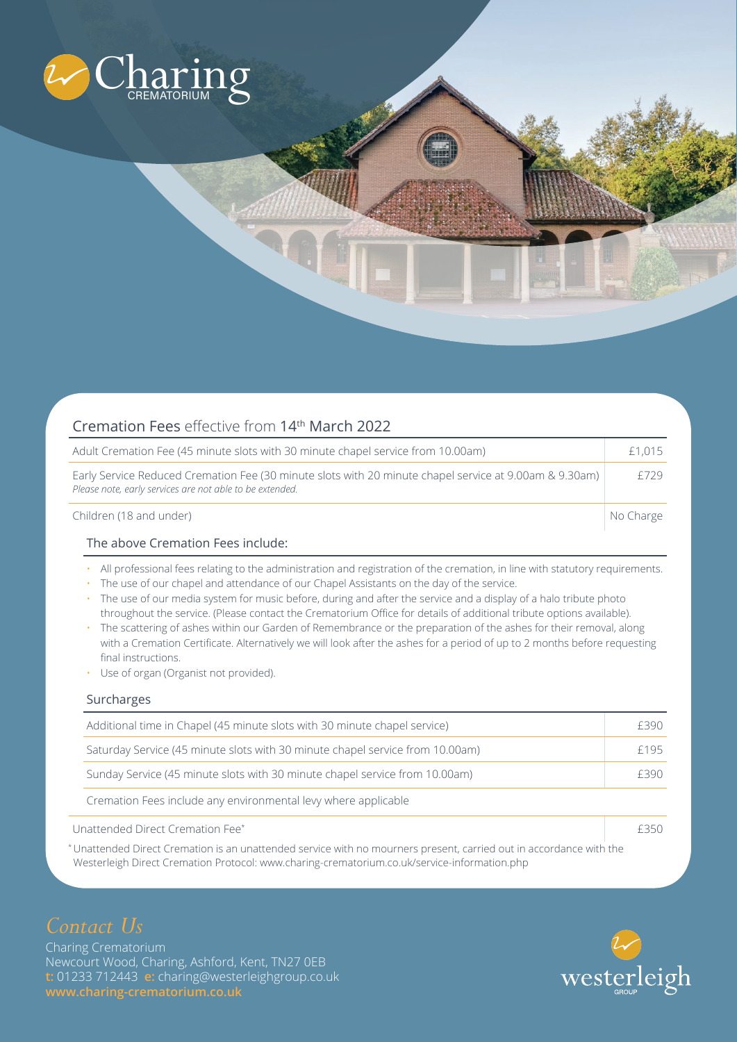

| Cremation Fees effective from 14th March 2022                                                                                                                      |           |  |
|--------------------------------------------------------------------------------------------------------------------------------------------------------------------|-----------|--|
| Adult Cremation Fee (45 minute slots with 30 minute chapel service from 10.00am)                                                                                   | £1,015    |  |
| Early Service Reduced Cremation Fee (30 minute slots with 20 minute chapel service at 9.00am & 9.30am)<br>Please note, early services are not able to be extended. | f729      |  |
| Children (18 and under)                                                                                                                                            | No Charge |  |
|                                                                                                                                                                    |           |  |

### The above Cremation Fees include:

- All professional fees relating to the administration and registration of the cremation, in line with statutory requirements.
- The use of our chapel and attendance of our Chapel Assistants on the day of the service.
- The use of our media system for music before, during and after the service and a display of a halo tribute photo throughout the service. (Please contact the Crematorium Office for details of additional tribute options available).
- The scattering of ashes within our Garden of Remembrance or the preparation of the ashes for their removal, along with a Cremation Certificate. Alternatively we will look after the ashes for a period of up to 2 months before requesting final instructions.
- Use of organ (Organist not provided).

## Surcharges

|                                  | Additional time in Chapel (45 minute slots with 30 minute chapel service)     | £390 |
|----------------------------------|-------------------------------------------------------------------------------|------|
|                                  | Saturday Service (45 minute slots with 30 minute chapel service from 10.00am) | f195 |
|                                  | Sunday Service (45 minute slots with 30 minute chapel service from 10.00am)   | F390 |
|                                  | Cremation Fees include any environmental levy where applicable                |      |
| Unattended Direct Cremation Fee* |                                                                               | もろざし |

\* Unattended Direct Cremation is an unattended service with no mourners present, carried out in accordance with the Westerleigh Direct Cremation Protocol: www.charing-crematorium.co.uk/service-information.php

Charing Crematorium Newcourt Wood, Charing, Ashford, Kent, TN27 0EB **t:** 01233 712443 **e:** charing@westerleighgroup.co.uk